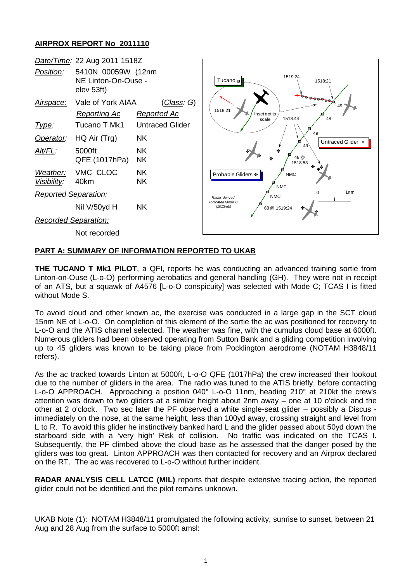## **AIRPROX REPORT No 2011110**



## **PART A: SUMMARY OF INFORMATION REPORTED TO UKAB**

**THE TUCANO T Mk1 PILOT**, a QFI, reports he was conducting an advanced training sortie from Linton-on-Ouse (L-o-O) performing aerobatics and general handling (GH). They were not in receipt of an ATS, but a squawk of A4576 [L-o-O conspicuity] was selected with Mode C; TCAS I is fitted without Mode S.

To avoid cloud and other known ac, the exercise was conducted in a large gap in the SCT cloud 15nm NE of L-o-O. On completion of this element of the sortie the ac was positioned for recovery to L-o-O and the ATIS channel selected. The weather was fine, with the cumulus cloud base at 6000ft. Numerous gliders had been observed operating from Sutton Bank and a gliding competition involving up to 45 gliders was known to be taking place from Pocklington aerodrome (NOTAM H3848/11 refers).

As the ac tracked towards Linton at 5000ft, L-o-O QFE (1017hPa) the crew increased their lookout due to the number of gliders in the area. The radio was tuned to the ATIS briefly, before contacting L-o-O APPROACH. Approaching a position 040° L-o-O 11nm, heading 210° at 210kt the crew's attention was drawn to two gliders at a similar height about 2nm away – one at 10 o'clock and the other at 2 o'clock. Two sec later the PF observed a white single-seat glider – possibly a Discus immediately on the nose, at the same height, less than 100yd away, crossing straight and level from L to R. To avoid this glider he instinctively banked hard L and the glider passed about 50yd down the starboard side with a 'very high' Risk of collision. No traffic was indicated on the TCAS I. Subsequently, the PF climbed above the cloud base as he assessed that the danger posed by the gliders was too great. Linton APPROACH was then contacted for recovery and an Airprox declared on the RT. The ac was recovered to L-o-O without further incident.

**RADAR ANALYSIS CELL LATCC (MIL)** reports that despite extensive tracing action, the reported glider could not be identified and the pilot remains unknown.

UKAB Note (1): NOTAM H3848/11 promulgated the following activity, sunrise to sunset, between 21 Aug and 28 Aug from the surface to 5000ft amsl: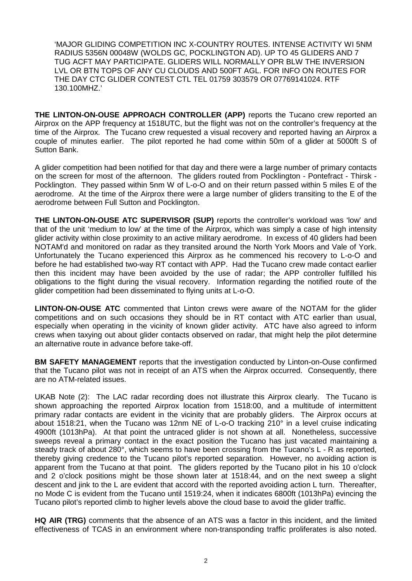'MAJOR GLIDING COMPETITION INC X-COUNTRY ROUTES. INTENSE ACTIVITY WI 5NM RADIUS 5356N 00048W (WOLDS GC, POCKLINGTON AD). UP TO 45 GLIDERS AND 7 TUG ACFT MAY PARTICIPATE. GLIDERS WILL NORMALLY OPR BLW THE INVERSION LVL OR BTN TOPS OF ANY CU CLOUDS AND 500FT AGL. FOR INFO ON ROUTES FOR THE DAY CTC GLIDER CONTEST CTL TEL 01759 303579 OR 07769141024. RTF 130.100MHZ.'

**THE LINTON-ON-OUSE APPROACH CONTROLLER (APP)** reports the Tucano crew reported an Airprox on the APP frequency at 1518UTC, but the flight was not on the controller's frequency at the time of the Airprox. The Tucano crew requested a visual recovery and reported having an Airprox a couple of minutes earlier. The pilot reported he had come within 50m of a glider at 5000ft S of Sutton Bank.

A glider competition had been notified for that day and there were a large number of primary contacts on the screen for most of the afternoon. The gliders routed from Pocklington - Pontefract - Thirsk - Pocklington. They passed within 5nm W of L-o-O and on their return passed within 5 miles E of the aerodrome. At the time of the Airprox there were a large number of gliders transiting to the E of the aerodrome between Full Sutton and Pocklington.

**THE LINTON-ON-OUSE ATC SUPERVISOR (SUP)** reports the controller's workload was 'low' and that of the unit 'medium to low' at the time of the Airprox, which was simply a case of high intensity glider activity within close proximity to an active military aerodrome. In excess of 40 gliders had been NOTAM'd and monitored on radar as they transited around the North York Moors and Vale of York. Unfortunately the Tucano experienced this Airprox as he commenced his recovery to L-o-O and before he had established two-way RT contact with APP. Had the Tucano crew made contact earlier then this incident may have been avoided by the use of radar; the APP controller fulfilled his obligations to the flight during the visual recovery. Information regarding the notified route of the glider competition had been disseminated to flying units at L-o-O.

**LINTON-ON-OUSE ATC** commented that Linton crews were aware of the NOTAM for the glider competitions and on such occasions they should be in RT contact with ATC earlier than usual, especially when operating in the vicinity of known glider activity. ATC have also agreed to inform crews when taxying out about glider contacts observed on radar, that might help the pilot determine an alternative route in advance before take-off.

**BM SAFETY MANAGEMENT** reports that the investigation conducted by Linton-on-Ouse confirmed that the Tucano pilot was not in receipt of an ATS when the Airprox occurred. Consequently, there are no ATM-related issues.

UKAB Note (2): The LAC radar recording does not illustrate this Airprox clearly. The Tucano is shown approaching the reported Airprox location from 1518:00, and a multitude of intermittent primary radar contacts are evident in the vicinity that are probably gliders. The Airprox occurs at about 1518:21, when the Tucano was 12nm NE of L-o-O tracking 210° in a level cruise indicating 4900ft (1013hPa). At that point the untraced glider is not shown at all. Nonetheless, successive sweeps reveal a primary contact in the exact position the Tucano has just vacated maintaining a steady track of about 280°, which seems to have been crossing from the Tucano's L - R as reported, thereby giving credence to the Tucano pilot's reported separation. However, no avoiding action is apparent from the Tucano at that point. The gliders reported by the Tucano pilot in his 10 o'clock and 2 o'clock positions might be those shown later at 1518:44, and on the next sweep a slight descent and jink to the L are evident that accord with the reported avoiding action L turn. Thereafter, no Mode C is evident from the Tucano until 1519:24, when it indicates 6800ft (1013hPa) evincing the Tucano pilot's reported climb to higher levels above the cloud base to avoid the glider traffic.

**HQ AIR (TRG)** comments that the absence of an ATS was a factor in this incident, and the limited effectiveness of TCAS in an environment where non-transponding traffic proliferates is also noted.